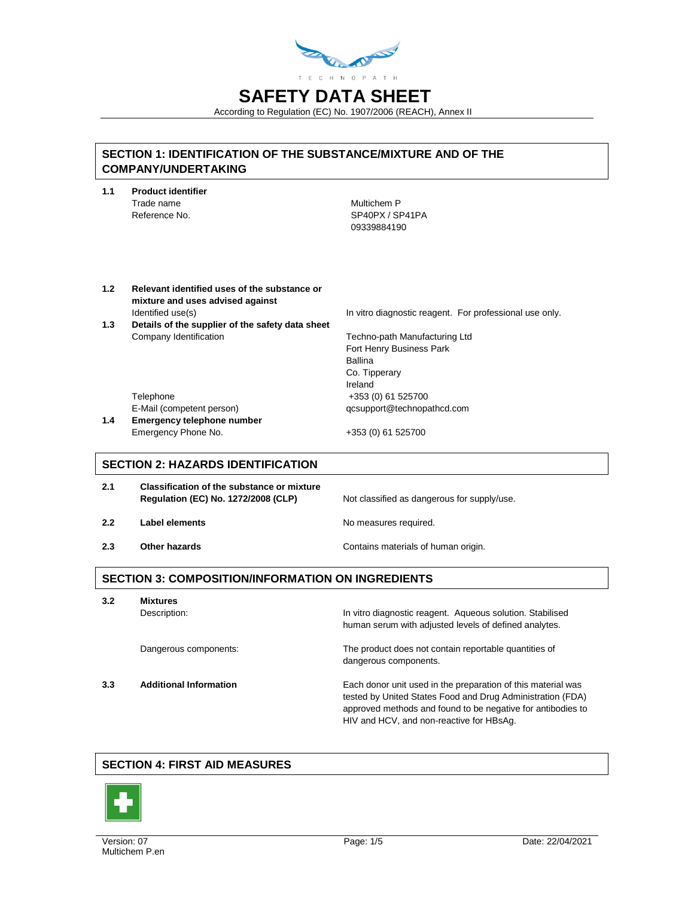

According to Regulation (EC) No. 1907/2006 (REACH), Annex II

## **SECTION 1: IDENTIFICATION OF THE SUBSTANCE/MIXTURE AND OF THE COMPANY/UNDERTAKING**

| 1.1 | <b>Product identifier</b> |                 |  |
|-----|---------------------------|-----------------|--|
|     | Trade name                | Multichem P     |  |
|     | Reference No.             | SP40PX / SP41PA |  |
|     |                           | 09339884190     |  |
|     |                           |                 |  |
|     |                           |                 |  |

**1.2 Relevant identified uses of the substance or mixture and uses advised against** Identified use(s) In vitro diagnostic reagent. For professional use only. **1.3 Details of the supplier of the safety data sheet** Company Identification **Techno-path Manufacturing Ltd** Fort Henry Business Park Ballina Co. Tipperary Ireland Telephone +353 (0) 61 525700

E-Mail (competent person) qcsupport@technopathcd.com

**1.4 Emergency telephone number** Emergency Phone No. 4353 (0) 61 525700

## **SECTION 2: HAZARDS IDENTIFICATION**

| 2.1 | <b>Classification of the substance or mixture</b><br>Regulation (EC) No. 1272/2008 (CLP) | Not classified as dangerous for supply/use. |
|-----|------------------------------------------------------------------------------------------|---------------------------------------------|
| 2.2 | Label elements                                                                           | No measures required.                       |
| 2.3 | Other hazards                                                                            | Contains materials of human origin.         |

## **SECTION 3: COMPOSITION/INFORMATION ON INGREDIENTS**

**3.2 Mixtures** Description: **In vitro diagnostic reagent.** Aqueous solution. Stabilised human serum with adjusted levels of defined analytes. Dangerous components: The product does not contain reportable quantities of dangerous components. **3.3 Additional Information** Each donor unit used in the preparation of this material was tested by United States Food and Drug Administration (FDA) approved methods and found to be negative for antibodies to

## **SECTION 4: FIRST AID MEASURES**



HIV and HCV, and non-reactive for HBsAg.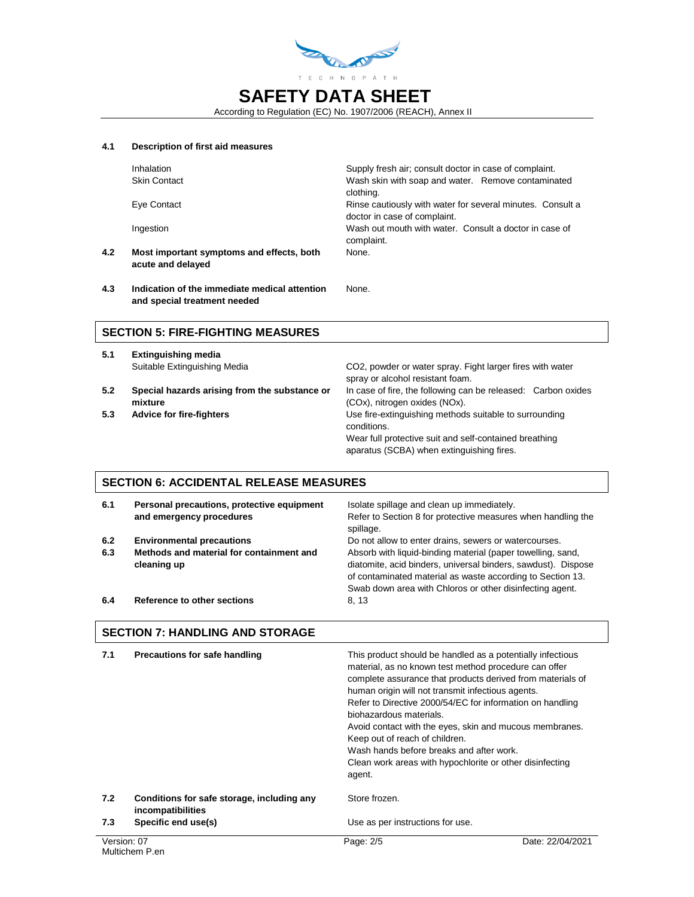

According to Regulation (EC) No. 1907/2006 (REACH), Annex II

None.

#### **4.1 Description of first aid measures**

**4.2 Most important symptoms and effects, both acute and delayed**

Inhalation **Supply fresh air; consult doctor in case of complaint.** Skin Contact Wash skin with soap and water. Remove contaminated clothing. Eye Contact Rinse cautiously with water for several minutes. Consult a doctor in case of complaint. Ingestion Wash out mouth with water. Consult a doctor in case of complaint. None.

**4.3 Indication of the immediate medical attention and special treatment needed**

## **SECTION 5: FIRE-FIGHTING MEASURES**

- **5.1 Extinguishing media**
- **5.2 Special hazards arising from the substance or mixture**
- 

Suitable Extinguishing Media CO2, powder or water spray. Fight larger fires with water spray or alcohol resistant foam. In case of fire, the following can be released: Carbon oxides (COx), nitrogen oxides (NOx). **5.3 Advice for fire-fighters ISS 6.3 Use fire-extinguishing methods suitable to surrounding** conditions. Wear full protective suit and self-contained breathing aparatus (SCBA) when extinguishing fires.

### **SECTION 6: ACCIDENTAL RELEASE MEASURES**

| 6.1        | Personal precautions, protective equipment<br>and emergency procedures                      | Isolate spillage and clean up immediately.<br>Refer to Section 8 for protective measures when handling the<br>spillage.                                                                                                                                                                                         |
|------------|---------------------------------------------------------------------------------------------|-----------------------------------------------------------------------------------------------------------------------------------------------------------------------------------------------------------------------------------------------------------------------------------------------------------------|
| 6.2<br>6.3 | <b>Environmental precautions</b><br>Methods and material for containment and<br>cleaning up | Do not allow to enter drains, sewers or watercourses.<br>Absorb with liquid-binding material (paper towelling, sand,<br>diatomite, acid binders, universal binders, sawdust). Dispose<br>of contaminated material as waste according to Section 13.<br>Swab down area with Chloros or other disinfecting agent. |
| 6.4        | Reference to other sections                                                                 | 8, 13                                                                                                                                                                                                                                                                                                           |

## **SECTION 7: HANDLING AND STORAGE**

| 7.1         | <b>Precautions for safe handling</b>                            | This product should be handled as a potentially infectious<br>material, as no known test method procedure can offer<br>complete assurance that products derived from materials of<br>human origin will not transmit infectious agents.<br>Refer to Directive 2000/54/EC for information on handling<br>biohazardous materials.<br>Avoid contact with the eyes, skin and mucous membranes.<br>Keep out of reach of children.<br>Wash hands before breaks and after work.<br>Clean work areas with hypochlorite or other disinfecting<br>agent. |                  |
|-------------|-----------------------------------------------------------------|-----------------------------------------------------------------------------------------------------------------------------------------------------------------------------------------------------------------------------------------------------------------------------------------------------------------------------------------------------------------------------------------------------------------------------------------------------------------------------------------------------------------------------------------------|------------------|
| 7.2         | Conditions for safe storage, including any<br>incompatibilities | Store frozen.                                                                                                                                                                                                                                                                                                                                                                                                                                                                                                                                 |                  |
| 7.3         | Specific end use(s)                                             | Use as per instructions for use.                                                                                                                                                                                                                                                                                                                                                                                                                                                                                                              |                  |
| Version: 07 | Multichem P.en                                                  | Page: 2/5                                                                                                                                                                                                                                                                                                                                                                                                                                                                                                                                     | Date: 22/04/2021 |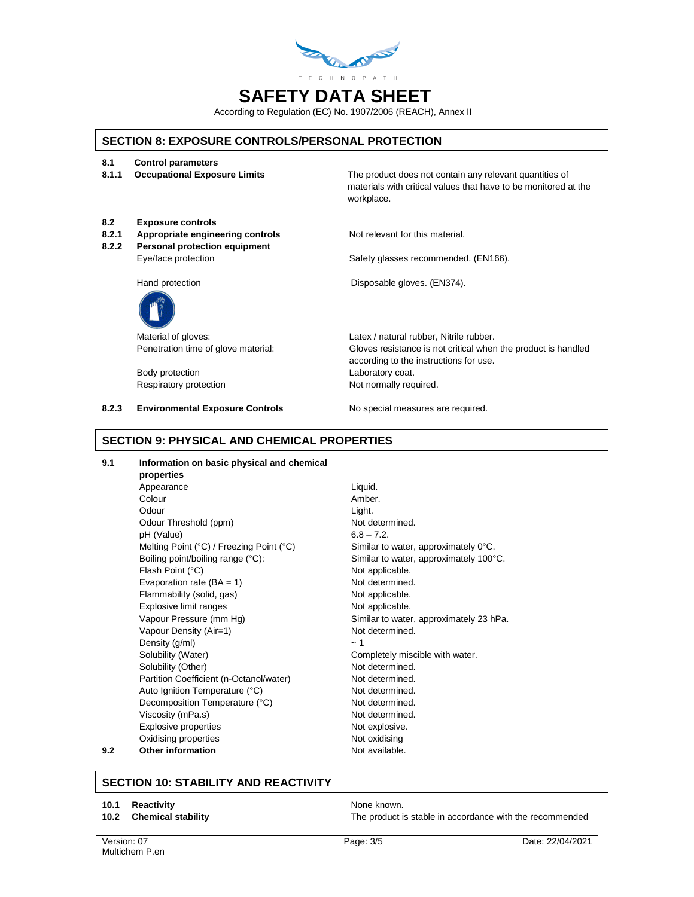

According to Regulation (EC) No. 1907/2006 (REACH), Annex II

## **SECTION 8: EXPOSURE CONTROLS/PERSONAL PROTECTION**

- **8.1 Control parameters**
- 

**8.1.1 Occupational Exposure Limits** The product does not contain any relevant quantities of materials with critical values that have to be monitored at the workplace.

- **8.2 Exposure controls**
- **8.2.1 Appropriate engineering controls** Not relevant for this material.
- **8.2.2 Personal protection equipment**

Eye/face protection **Safety glasses recommended.** (EN166).

Hand protection Disposable gloves. (EN374).



Body protection **Laboratory coat.** Respiratory protection Not normally required.

Material of gloves: Material of gloves: Latex / natural rubber, Nitrile rubber. Penetration time of glove material: Gloves resistance is not critical when the product is handled according to the instructions for use.

**8.2.3 Environmental Exposure Controls No special measures are required.** 

## **SECTION 9: PHYSICAL AND CHEMICAL PROPERTIES**

#### **9.1 Information on basic physical and chemical properties** Appearance Liquid. Colour **Amber.** Odour Light. Odour Threshold (ppm) Not determined.  $pH (Value)$  6.8 – 7.2. Melting Point (°C) / Freezing Point (°C) Similar to water, approximately 0°C. Boiling point/boiling range (°C): Similar to water, approximately 100°C. Flash Point (°C) Not applicable. Evaporation rate  $(BA = 1)$  Not determined. Flammability (solid, gas) Not applicable. Explosive limit ranges Not applicable. Vapour Pressure (mm Hg) Similar to water, approximately 23 hPa. Vapour Density (Air=1) Not determined. Density  $(g/ml)$   $\sim 1$ Solubility (Water) Completely miscible with water. Solubility (Other) Not determined. Partition Coefficient (n-Octanol/water) Not determined. Auto Ignition Temperature (°C) Not determined. Decomposition Temperature (°C) Not determined. Viscosity (mPa.s) Not determined. Explosive properties Not explosive. Oxidising properties Not oxidising **9.2 Other information Not available.**

## **SECTION 10: STABILITY AND REACTIVITY**

#### **10.1 Reactivity None known.** None known.

**10.2 Chemical stability** The product is stable in accordance with the recommended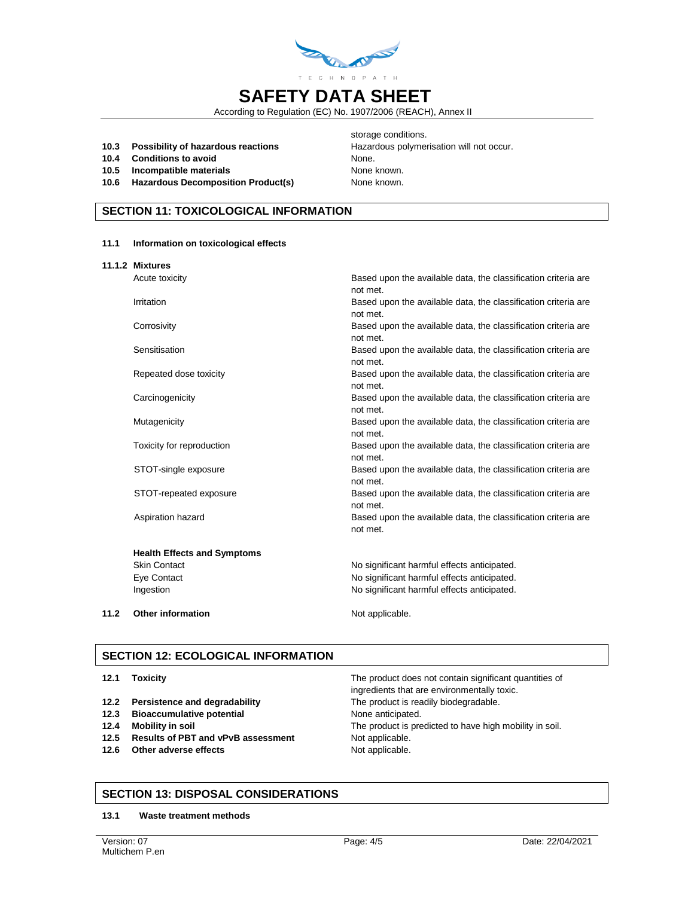

According to Regulation (EC) No. 1907/2006 (REACH), Annex II

**10.3** Possibility of hazardous reactions **Hazardous polymerisation will not occur.** 

**11.1 Information on toxicological effects**

- **10.4 Conditions to avoid None.** None.
- **10.5 Incompatible materials** None known.
- **10.6 Hazardous Decomposition Product(s)** None known.

storage conditions.

## **SECTION 11: TOXICOLOGICAL INFORMATION**

|      | 11.1.2 Mixtures                    |                                                                |
|------|------------------------------------|----------------------------------------------------------------|
|      | Acute toxicity                     | Based upon the available data, the classification criteria are |
|      |                                    | not met.                                                       |
|      | Irritation                         | Based upon the available data, the classification criteria are |
|      |                                    | not met.                                                       |
|      | Corrosivity                        | Based upon the available data, the classification criteria are |
|      |                                    | not met.                                                       |
|      | Sensitisation                      | Based upon the available data, the classification criteria are |
|      |                                    | not met.                                                       |
|      | Repeated dose toxicity             | Based upon the available data, the classification criteria are |
|      |                                    | not met.                                                       |
|      | Carcinogenicity                    | Based upon the available data, the classification criteria are |
|      |                                    | not met.                                                       |
|      | Mutagenicity                       | Based upon the available data, the classification criteria are |
|      |                                    | not met.                                                       |
|      | Toxicity for reproduction          | Based upon the available data, the classification criteria are |
|      |                                    | not met.                                                       |
|      | STOT-single exposure               | Based upon the available data, the classification criteria are |
|      |                                    | not met.                                                       |
|      | STOT-repeated exposure             | Based upon the available data, the classification criteria are |
|      |                                    | not met.                                                       |
|      | Aspiration hazard                  | Based upon the available data, the classification criteria are |
|      |                                    | not met.                                                       |
|      |                                    |                                                                |
|      | <b>Health Effects and Symptoms</b> |                                                                |
|      | <b>Skin Contact</b>                | No significant harmful effects anticipated.                    |
|      | Eye Contact                        | No significant harmful effects anticipated.                    |
|      | Ingestion                          | No significant harmful effects anticipated.                    |
|      |                                    |                                                                |
| 11.2 | <b>Other information</b>           | Not applicable.                                                |

## **SECTION 12: ECOLOGICAL INFORMATION**

- **12.2 Persistence and degradability** The product is readily biodegradable.
- **12.3 Bioaccumulative potential None anticipated.**
- 
- 12.5 **Results of PBT and vPvB assessment** Not applicable.
- **12.6 Other adverse effects** Not applicable.

The product does not contain significant quantities of ingredients that are environmentally toxic. **12.4 Mobility in soil** The product is predicted to have high mobility in soil.

## **SECTION 13: DISPOSAL CONSIDERATIONS**

**13.1 Waste treatment methods**